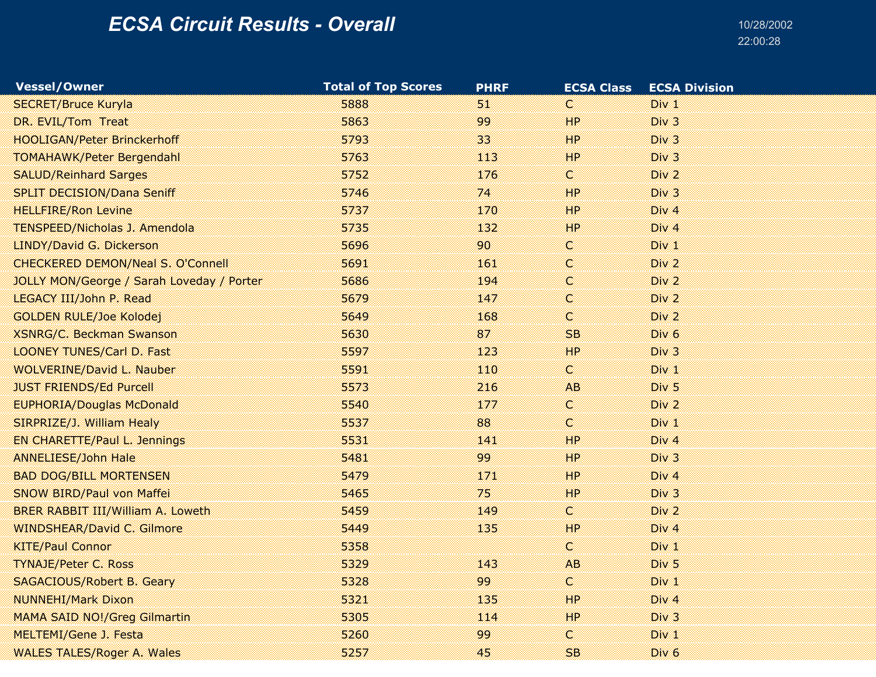| <b>Vessel/Owner</b>                       | <b>Total of Top Scores</b> | <b>PHRF</b> | <b>ECSA Class</b> | <b>ECSA Division</b> |
|-------------------------------------------|----------------------------|-------------|-------------------|----------------------|
| <b>SECRET/Bruce Kuryla</b>                | 5888                       | 51          | C                 | Div 1                |
| DR. EVIL/Tom Treat                        | 5863                       | 99          | HP                | Div 3                |
| <b>HOOLIGAN/Peter Brinckerhoff</b>        | 5793                       | 33          | HP                | Div 3                |
| <b>TOMAHAWK/Peter Bergendahl</b>          | 5763                       | 113         | HP                | Div 3                |
| <b>SALUD/Reinhard Sarges</b>              | 5752                       | 176         | C                 | Div 2                |
| <b>SPLIT DECISION/Dana Seniff</b>         | 5746                       | 74.         | HP                | Div 3                |
| <b>HELLFIRE/Ron Levine</b>                | 5737                       | 170         | HP                | Div <sub>4</sub>     |
| <b>TENSPEED/Nicholas J. Amendola</b>      | 5735                       | 132         | HP                | Div <sub>4</sub>     |
| LINDY/David G. Dickerson                  | 5696                       | 90          | C                 | Div 1                |
| <b>CHECKERED DEMON/Neal S. O'Connell</b>  | 5691                       | 161         | C                 | Div <sub>2</sub>     |
| JOLLY MON/George / Sarah Loveday / Porter | 5686                       | 194         | C                 | Div 2                |
| LEGACY III/John P. Read                   | 5679                       | 147         | Ċ.                | Div 2                |
| <b>GOLDEN RULE/Joe Kolodej</b>            | 5649                       | 168         | C                 | Div <sub>2</sub>     |
| <b>XSNRG/C. Beckman Swanson</b>           | 5630                       | 87          | SB.               | Div <sub>6</sub>     |
| <b>LOONEY TUNES/Carl D. Fast</b>          | 5597                       | 123         | HP                | Div 3                |
| <b>WOLVERINE/David L. Nauber</b>          | 5591                       | 110         | C                 | Div <sub>1</sub>     |
| <b>JUST FRIENDS/Ed Purcell</b>            | 5573                       | 216         | AB                | Div <sub>5</sub>     |
| <b>EUPHORIA/Douglas McDonald</b>          | 5540                       | 177         | C                 | Div 2                |
| SIRPRIZE/J. William Healy                 | 5537                       | 88          | C                 | Div 1                |
| EN CHARETTE/Paul L. Jennings              | 5531                       | 141         | HP                | Div <sub>4</sub>     |
| <b>ANNELIESE/John Hale</b>                | 5481                       | 99          | HP                | Div 3                |
| <b>BAD DOG/BILL MORTENSEN</b>             | 5479                       | 171         | HP                | Div <sub>4</sub>     |
| SNOW BIRD/Paul von Maffei                 | 5465                       | 75          | HP                | Div 3                |
| <b>BRER RABBIT III/William A. Loweth</b>  | 5459                       | 149         | c                 | Div 2                |
| <b>WINDSHEAR/David C. Gilmore</b>         | 5449                       | 135         | HP                | Div 4                |
| <b>KITE/Paul Connor</b>                   | 5358                       |             | C                 | Div 1                |
| <b>TYNAJE/Peter C. Ross</b>               | 5329                       | 143         | AB                | Div <sub>5</sub>     |
| <b>SAGACIOUS/Robert B. Geary</b>          | 5328                       | 99          | C                 | Div 1                |
| <b>NUNNEHI/Mark Dixon</b>                 | 5321                       | 135         | HP                | Div <sub>4</sub>     |
| <b>MAMA SAID NO!/Greg Gilmartin</b>       | 5305                       | 114         | HP                | Div 3                |
| MELTEMI/Gene J. Festa                     | 5260                       | 99          | C                 | Div 1                |
| <b>WALES TALES/Roger A. Wales</b>         | 5257                       | 45          | SB                | Div <sub>6</sub>     |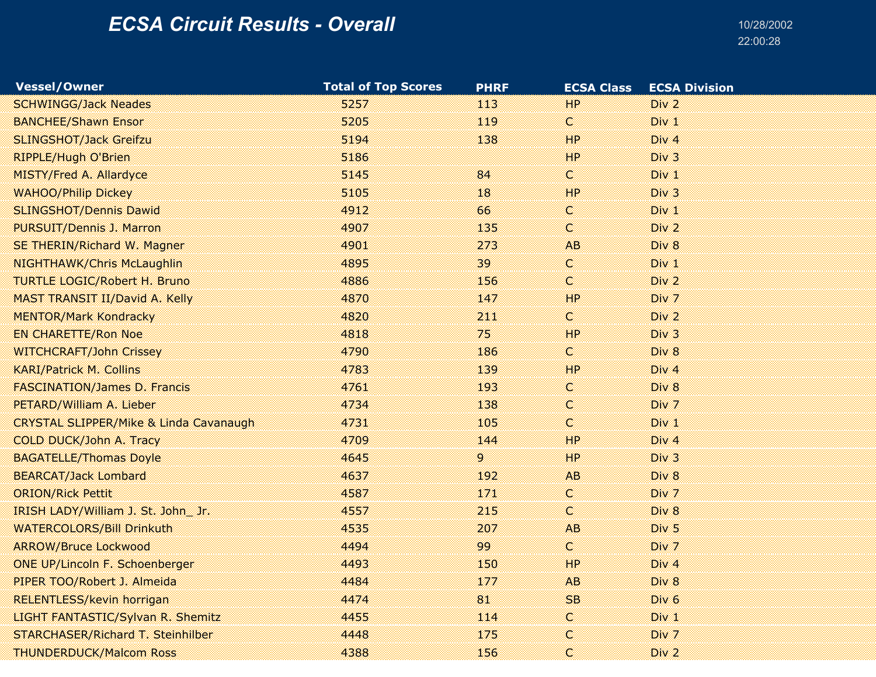| <b>Vessel/Owner</b>                               | <b>Total of Top Scores</b> | <b>PHRF</b> | <b>ECSA Class</b> | <b>ECSA Division</b> |
|---------------------------------------------------|----------------------------|-------------|-------------------|----------------------|
| <b>SCHWINGG/Jack Neades</b>                       | 5257                       | 113         | HP                | Div <sub>2</sub>     |
| <b>BANCHEE/Shawn Ensor</b>                        | 5205                       | 119         | C                 | Div 1                |
| <b>SLINGSHOT/Jack Greifzu</b>                     | 5194                       | 138         | HP                | Div <sub>4</sub>     |
| RIPPLE/Hugh O'Brien                               | 5186                       |             | HP                | Div <sub>3</sub>     |
| MISTY/Fred A. Allardyce                           | 5145                       | 84          | C                 | Div 1                |
| <b>WAHOO/Philip Dickey</b>                        | 5105                       | 18          | HP                | Div 3                |
| <b>SLINGSHOT/Dennis Dawid</b>                     | 4912                       | 66          | C                 | Div 1                |
| <b>PURSUIT/Dennis J. Marron</b>                   | 4907                       | 135         | C                 | Div 2                |
| SE THERIN/Richard W. Magner                       | 4901                       | 273         | AB.               | Div 8                |
| NIGHTHAWK/Chris McLaughlin                        | 4895                       | 39          | C                 | Div 1                |
| <b>TURTLE LOGIC/Robert H. Bruno</b>               | 4886                       | 156         | C                 | Div 2                |
| MAST TRANSIT II/David A. Kelly                    | 4870                       | 147         | HP                | Div 7                |
| <b>MENTOR/Mark Kondracky</b>                      | 4820                       | 211         | C                 | Div <sub>2</sub>     |
| <b>EN CHARETTE/Ron Noe</b>                        | 4818                       | 75          | HP                | Div 3                |
| <b>WITCHCRAFT/John Crissey</b>                    | 4790                       | 186         | C                 | Div 8                |
| <b>KARI/Patrick M. Collins</b>                    | 4783                       | 139         | HP                | Div <sub>4</sub>     |
| <b>FASCINATION/James D. Francis</b>               | 4761                       | 193         | C                 | Div 8                |
| PETARD/William A. Lieber                          | 4734                       | 138         | C                 | Div 7                |
| <b>CRYSTAL SLIPPER/Mike &amp; Linda Cavanaugh</b> | 4731                       | 105         | C                 | Div 1                |
| COLD DUCK/John A. Tracy                           | 4709                       | 144         | HP                | Div <sub>4</sub>     |
| <b>BAGATELLE/Thomas Doyle</b>                     | 4645                       | 9.          | <b>HP</b>         | Div 3                |
| <b>BEARCAT/Jack Lombard</b>                       | 4637                       | 192         | <b>AB</b>         | Div 8                |
| <b>ORION/Rick Pettit</b>                          | 4587                       | 171         | C                 | Div 7                |
| IRISH LADY/William J. St. John_Jr.                | 4557                       | 215         | C                 | Div 8                |
| <b>WATERCOLORS/Bill Drinkuth</b>                  | 4535                       | 207         | <b>AB</b>         | Div <sub>5</sub>     |
| <b>ARROW/Bruce Lockwood</b>                       | 4494                       | 99          | C                 | Div 7                |
| ONE UP/Lincoln F. Schoenberger                    | 4493                       | 150         | HP                | Div <sub>4</sub>     |
| PIPER TOO/Robert J. Almeida                       | 4484                       | 177         | AB                | Div 8                |
| RELENTLESS/kevin horrigan                         | 4474                       | 81          | SB                | Div <sub>6</sub>     |
| LIGHT FANTASTIC/Sylvan R. Shemitz                 | 4455                       | 114         | C.                | Div 1                |
| STARCHASER/Richard T. Steinhilber                 | 4448                       | 175         | C                 | Div 7                |
| <b>THUNDERDUCK/Malcom Ross</b>                    | 4388                       | 156         | C.                | Div <sub>2</sub>     |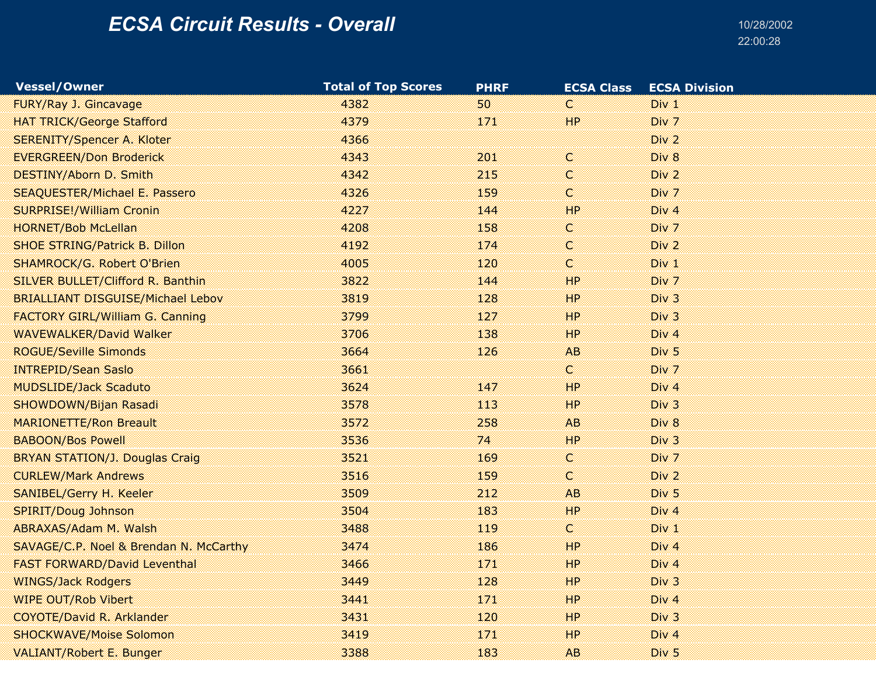| <b>Vessel/Owner</b>                      | <b>Total of Top Scores</b> | <b>PHRF</b> | <b>ECSA Class</b> | <b>ECSA Division</b> |
|------------------------------------------|----------------------------|-------------|-------------------|----------------------|
| FURY/Ray J. Gincavage                    | 4382                       | 50          | C                 | Div 1                |
| <b>HAT TRICK/George Stafford</b>         | 4379                       | 171         | HP                | Div 7                |
| <b>SERENITY/Spencer A. Kloter</b>        | 4366                       |             |                   | Div 2                |
| <b>EVERGREEN/Don Broderick</b>           | 4343                       | 201         | C.                | Div 8                |
| DESTINY/Aborn D. Smith                   | 4342                       | 215         | C                 | Div 2                |
| <b>SEAQUESTER/Michael E. Passero</b>     | 4326                       | 159         | C                 | Div 7                |
| <b>SURPRISE!/William Cronin</b>          | 4227                       | 144         | HP                | Div <sub>4</sub>     |
| <b>HORNET/Bob McLellan</b>               | 4208                       | 158         | C                 | Div 7                |
| <b>SHOE STRING/Patrick B. Dillon</b>     | 4192                       | 174         | C                 | Div 2                |
| <b>SHAMROCK/G. Robert O'Brien</b>        | 4005                       | 120         | C                 | Div 1                |
| SILVER BULLET/Clifford R. Banthin        | 3822                       | 144         | HP                | Div 7                |
| <b>BRIALLIANT DISGUISE/Michael Lebov</b> | 3819                       | 128         | HP                | Div 3                |
| <b>FACTORY GIRL/William G. Canning</b>   | 3799                       | 127         | HP                | Div 3                |
| <b>WAVEWALKER/David Walker</b>           | 3706                       | 138         | HP                | Div <sub>4</sub>     |
| <b>ROGUE/Seville Simonds</b>             | 3664                       | 126         | AB.               | Div <sub>5</sub>     |
| <b>INTREPID/Sean Saslo</b>               | 3661                       |             | C                 | Div 7                |
| <b>MUDSLIDE/Jack Scaduto</b>             | 3624                       | 147         | HP                | Div <sub>4</sub>     |
| SHOWDOWN/Bijan Rasadi                    | 3578                       | 113         | HP                | Div 3                |
| <b>MARIONETTE/Ron Breault</b>            | 3572                       | 258         | <b>AB</b>         | Div 8                |
| <b>BABOON/Bos Powell</b>                 | 3536                       | 74          | HP                | Div 3                |
| <b>BRYAN STATION/J. Douglas Craig</b>    | 3521                       | 169         | C.                | Div 7                |
| <b>CURLEW/Mark Andrews</b>               | 3516                       | 159         | C                 | Div 2                |
| SANIBEL/Gerry H. Keeler                  | 3509                       | 212         | <b>AB</b>         | Div <sub>5</sub>     |
| SPIRIT/Doug Johnson                      | 3504                       | 183         | HP                | Div <sub>4</sub>     |
| ABRAXAS/Adam M. Walsh                    | 3488                       | 119         | C                 | $Div_1$              |
| SAVAGE/C.P. Noel & Brendan N. McCarthy   | 3474                       | 186         | HP                | Div <sub>4</sub>     |
| <b>FAST FORWARD/David Leventhal</b>      | 3466                       | 171         | HP                | Div <sub>4</sub>     |
| <b>WINGS/Jack Rodgers</b>                | 3449                       | 128         | HP                | Div <sub>3</sub>     |
| <b>WIPE OUT/Rob Vibert</b>               | 3441                       | 171         | HP                | Div <sub>4</sub>     |
| COYOTE/David R. Arklander                | 3431                       | 120         | HP.               | Div <sub>3</sub>     |
| <b>SHOCKWAVE/Moise Solomon</b>           | 3419                       | 171         | HP                | Div <sub>4</sub>     |
| <b>VALIANT/Robert E. Bunger</b>          | 3388                       | 183         | AB                | Div <sub>5</sub>     |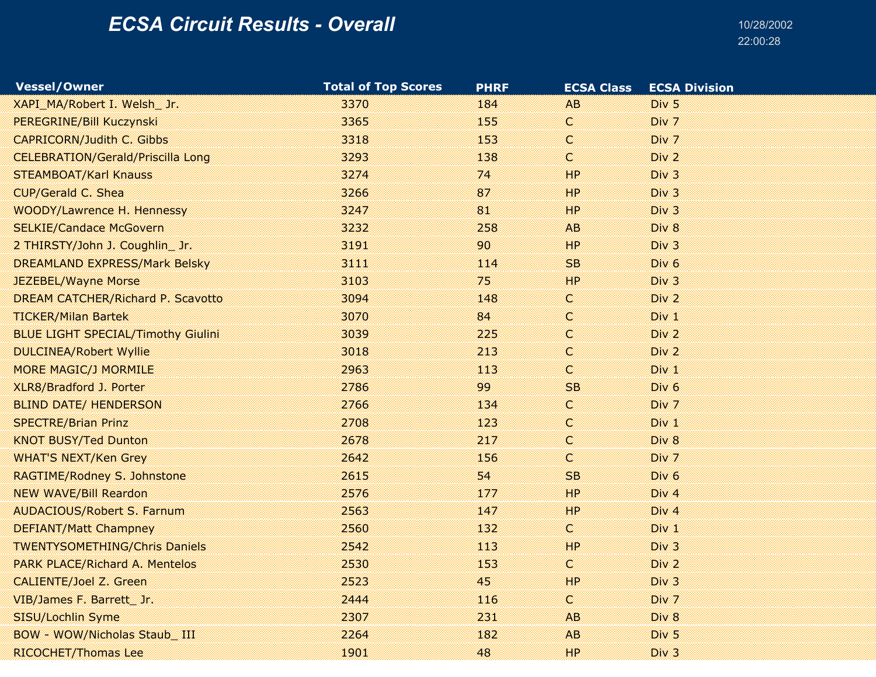| <b>Vessel/Owner</b>                       | <b>Total of Top Scores</b> | <b>PHRF</b> | <b>ECSA Class</b> | <b>ECSA Division</b> |
|-------------------------------------------|----------------------------|-------------|-------------------|----------------------|
| XAPI MA/Robert I. Welsh Jr.               | 3370                       | 184         | AB.               | Div <sub>5</sub>     |
| PEREGRINE/Bill Kuczynski                  | 3365                       | 155         | C                 | Div 7                |
| <b>CAPRICORN/Judith C. Gibbs</b>          | 3318                       | 153         | C                 | Div 7                |
| <b>CELEBRATION/Gerald/Priscilla Long</b>  | 3293                       | 138         | C.                | Div <sub>2</sub>     |
| <b>STEAMBOAT/Karl Knauss</b>              | 3274                       | 74          | HP                | Div 3                |
| CUP/Gerald C. Shea                        | 3266                       | 87          | HP                | Div 3                |
| <b>WOODY/Lawrence H. Hennessy</b>         | 3247                       | 81          | HP                | Div 3                |
| <b>SELKIE/Candace McGovern</b>            | 3232                       | 258         | AB.               | Div 8                |
| 2 THIRSTY/John J. Coughlin Jr.            | 3191                       | 90          | HP                | Div 3                |
| DREAMLAND EXPRESS/Mark Belsky             | 3111                       | 114         | SB.               | Div <sub>6</sub>     |
| <b>JEZEBEL/Wayne Morse</b>                | 3103                       | 75          | HP                | Div 3                |
| DREAM CATCHER/Richard P. Scavotto         | 3094                       | 148         | C.                | Div 2                |
| <b>TICKER/Milan Bartek</b>                | 3070                       | 84          | C                 | Div 1                |
| <b>BLUE LIGHT SPECIAL/Timothy Giulini</b> | 3039                       | 225         | C                 | Div 2                |
| <b>DULCINEA/Robert Wyllie</b>             | 3018                       | 213         | C                 | Div 2                |
| <b>MORE MAGIC/J MORMILE</b>               | 2963                       | 113         | C                 | Div 1                |
| XLR8/Bradford J. Porter                   | 2786                       | 99.         | SB                | Div <sub>6</sub>     |
| <b>BLIND DATE/ HENDERSON</b>              | 2766                       | 134         | C.                | Div 7                |
| <b>SPECTRE/Brian Prinz</b>                | 2708                       | 123         | C                 | Div 1                |
| <b>KNOT BUSY/Ted Dunton</b>               | 2678                       | 217         | C                 | Div 8                |
| <b>WHAT'S NEXT/Ken Grey</b>               | 2642                       | 156         | C                 | Div 7                |
| RAGTIME/Rodney S. Johnstone               | 2615                       | 54          | <b>SB</b>         | Div <sub>6</sub>     |
| <b>NEW WAVE/Bill Reardon</b>              | 2576                       | 177         | HP                | Div 4                |
| <b>AUDACIOUS/Robert S. Farnum</b>         | 2563                       | 147         | HP                | Div <sub>4</sub>     |
| <b>DEFIANT/Matt Champney</b>              | 2560                       | 132         | C.                | Div 1                |
| <b>TWENTYSOMETHING/Chris Daniels</b>      | 2542                       | 113         | HP                | Div 3                |
| <b>PARK PLACE/Richard A. Mentelos</b>     | 2530                       | 153         | C.                | Div 2                |
| CALIENTE/Joel Z. Green                    | 2523                       | 45          | HP                | Div <sub>3</sub>     |
| VIB/James F. Barrett Jr.                  | 2444                       | 116         | C                 | Div 7                |
| SISU/Lochlin Syme                         | 2307                       | 231         | AB                | Div 8                |
| BOW - WOW/Nicholas Staub III              | 2264                       | 182         | AB.               | Div <sub>5</sub>     |
| RICOCHET/Thomas Lee                       | 1901                       | 48          | HP                | Div 3                |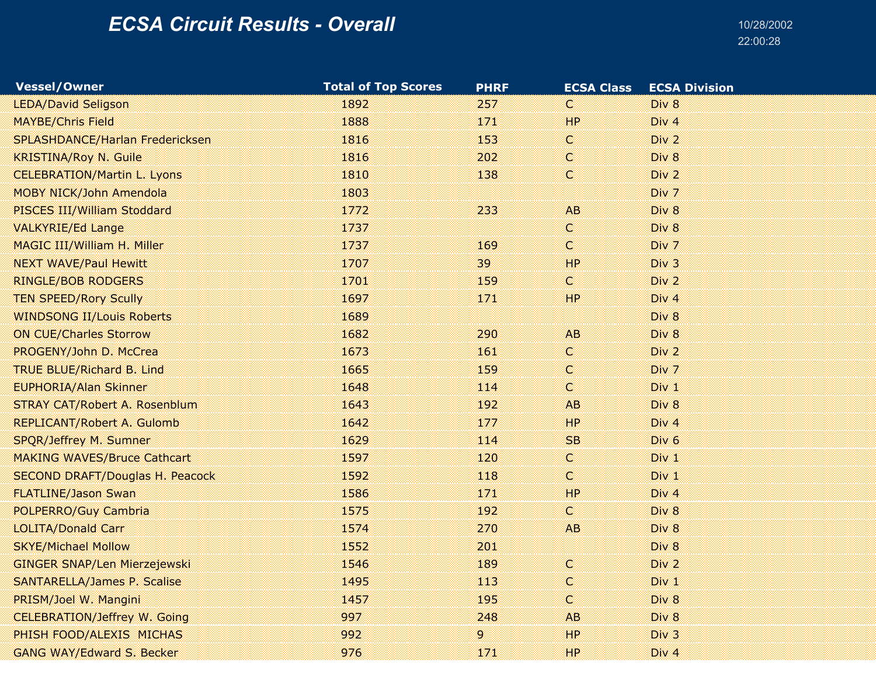| <b>Vessel/Owner</b>                    | <b>Total of Top Scores</b> | <b>PHRF</b> | <b>ECSA Class</b> | <b>ECSA Division</b> |
|----------------------------------------|----------------------------|-------------|-------------------|----------------------|
| <b>LEDA/David Seligson</b>             | 1892                       | 257         | C                 | Div 8                |
| <b>MAYBE/Chris Field</b>               | 1888                       | 171         | HP                | Div 4                |
| SPLASHDANCE/Harlan Fredericksen        | 1816                       | 153         | C.                | Div <sub>2</sub>     |
| <b>KRISTINA/Roy N. Guile</b>           | 1816                       | 202         | C                 | Div 8                |
| <b>CELEBRATION/Martin L. Lyons</b>     | 1810                       | 138         | C                 | Div 2                |
| MOBY NICK/John Amendola                | 1803                       |             |                   | Div 7                |
| PISCES III/William Stoddard            | 1772                       | 233         | AB.               | Div 8                |
| <b>VALKYRIE/Ed Lange</b>               | 1737                       |             | C.                | Div 8                |
| <b>MAGIC III/William H. Miller</b>     | 1737                       | 169         | C                 | Div 7                |
| <b>NEXT WAVE/Paul Hewitt</b>           | 1707                       | 39          | HP                | Div 3                |
| <b>RINGLE/BOB RODGERS</b>              | 1701                       | 159         | C                 | Div 2                |
| <b>TEN SPEED/Rory Scully</b>           | 1697                       | 171         | HP                | Div <sub>4</sub>     |
| <b>WINDSONG II/Louis Roberts</b>       | 1689                       |             |                   | Div 8                |
| <b>ON CUE/Charles Storrow</b>          | 1682                       | 290         | AB                | Div 8                |
| PROGENY/John D. McCrea                 | 1673                       | 161         | C.                | Div <sub>2</sub>     |
| <b>TRUE BLUE/Richard B. Lind</b>       | 1665                       | 159         | C                 | Div 7                |
| <b>EUPHORIA/Alan Skinner</b>           | 1648                       | 114         | C                 | Div 1                |
| <b>STRAY CAT/Robert A. Rosenblum</b>   | 1643                       | 192         | AB                | Div 8                |
| REPLICANT/Robert A. Gulomb             | 1642                       | 177         | HP                | Div <sub>4</sub>     |
| SPQR/Jeffrey M. Sumner                 | 1629                       | 114         | SB                | Div <sub>6</sub>     |
| <b>MAKING WAVES/Bruce Cathcart</b>     | 1597                       | 120         | C.                | Div 1                |
| <b>SECOND DRAFT/Douglas H. Peacock</b> | 1592                       | 118         | C                 | Div 1                |
| <b>FLATLINE/Jason Swan</b>             | 1586                       | 171         | HP                | Div 4                |
| POLPERRO/Guy Cambria                   | 1575                       | 192         | C                 | Div 8                |
| <b>LOLITA/Donald Carr</b>              | 1574                       | 270         | <b>AB</b>         | Div 8                |
| <b>SKYE/Michael Mollow</b>             | 1552                       | 201         |                   | Div 8                |
| <b>GINGER SNAP/Len Mierzejewski</b>    | 1546                       | 189         | C.                | Div <sub>2</sub>     |
| <b>SANTARELLA/James P. Scalise</b>     | 1495                       | 113         | C                 | Div 1                |
| PRISM/Joel W. Mangini                  | 1457                       | 195         | C                 | Div 8                |
| <b>CELEBRATION/Jeffrey W. Going</b>    | 997                        | 248         | <b>AB</b>         | Div 8                |
| PHISH FOOD/ALEXIS MICHAS               | 992                        | 9.          | HP                | Div <sub>3</sub>     |
| <b>GANG WAY/Edward S. Becker</b>       | 976                        | 171         | HP                | Div <sub>4</sub>     |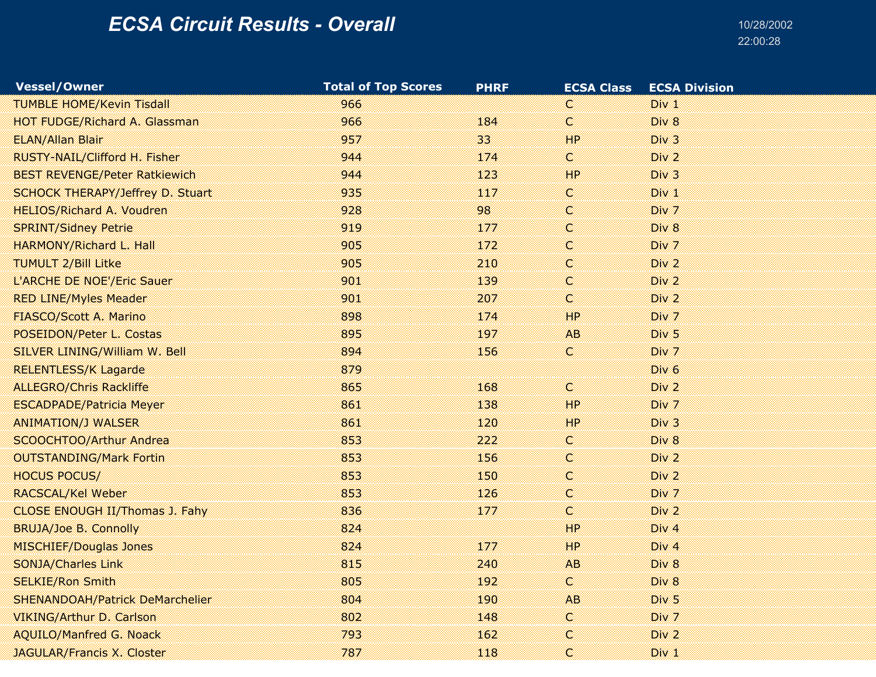| <b>Vessel/Owner</b>                    | <b>Total of Top Scores</b> | <b>PHRF</b> | <b>ECSA Class</b> | <b>ECSA Division</b> |
|----------------------------------------|----------------------------|-------------|-------------------|----------------------|
| <b>TUMBLE HOME/Kevin Tisdall</b>       | 966                        |             | C                 | Div 1                |
| <b>HOT FUDGE/Richard A. Glassman</b>   | 966                        | 184         | $\mathsf{C}$      | Div 8                |
| <b>ELAN/Allan Blair</b>                | 957                        | 33          | HP                | Div <sub>3</sub>     |
| RUSTY-NAIL/Clifford H. Fisher          | 944                        | 174         | C                 | Div 2                |
| <b>BEST REVENGE/Peter Ratkiewich</b>   | 944                        | 123         | HP                | Div 3                |
| SCHOCK THERAPY/Jeffrey D. Stuart       | 935                        | 117         | C.                | Div 1                |
| <b>HELIOS/Richard A. Voudren</b>       | 928                        | 98          | C                 | Div 7                |
| <b>SPRINT/Sidney Petrie</b>            | 919                        | 177         | C                 | Div 8                |
| <b>HARMONY/Richard L. Hall</b>         | 905                        | 172         | C.                | Div 7                |
| <b>TUMULT 2/Bill Litke</b>             | 905                        | 210         | C                 | Div <sub>2</sub>     |
| L'ARCHE DE NOE'/Eric Sauer             | 901                        | 139         | Ċ.                | Div 2                |
| <b>RED LINE/Myles Meader</b>           | 901                        | 207         | C                 | Div 2                |
| FIASCO/Scott A. Marino                 | 898                        | 174         | HP                | Div 7                |
| POSEIDON/Peter L. Costas               | 895                        | 197         | AB.               | Div <sub>5</sub>     |
| SILVER LINING/William W. Bell          | 894                        | 156         | C.                | Div 7                |
| <b>RELENTLESS/K Lagarde</b>            | 879                        |             |                   | Div <sub>6</sub>     |
| <b>ALLEGRO/Chris Rackliffe</b>         | 865                        | 168         | C                 | Div 2                |
| <b>ESCADPADE/Patricia Meyer</b>        | 861                        | 138         | HP                | Div 7                |
| <b>ANIMATION/J WALSER</b>              | 861                        | 120         | HP                | Div <sub>3</sub>     |
| SCOOCHTOO/Arthur Andrea                | 853                        | 222         | C.                | Div 8                |
| <b>OUTSTANDING/Mark Fortin</b>         | 853                        | 156         | C.                | Div 2                |
| <b>HOCUS POCUS/</b>                    | 853                        | 150         | C                 | Div <sub>2</sub>     |
| RACSCAL/Kel Weber                      | 853                        | 126         | C                 | Div 7                |
| CLOSE ENOUGH II/Thomas J. Fahy         | 836                        | 177         | C                 | Div 2                |
| <b>BRUJA/Joe B. Connolly</b>           | 824                        |             | HP                | Div 4                |
| <b>MISCHIEF/Douglas Jones</b>          | 824                        | 177         | HP                | Div 4                |
| <b>SONJA/Charles Link</b>              | 815                        | 240         | AB                | Div 8                |
| <b>SELKIE/Ron Smith</b>                | 805                        | 192         | C                 | Div 8                |
| <b>SHENANDOAH/Patrick DeMarchelier</b> | 804                        | 190         | AB                | Div <sub>5</sub>     |
| VIKING/Arthur D. Carlson               | 802                        | 148         | C.                | Div 7                |
| <b>AQUILO/Manfred G. Noack</b>         | 793                        | 162         | C                 | Div 2                |
| <b>JAGULAR/Francis X. Closter</b>      | 787                        | 118         | C.                | Div <sub>1</sub>     |